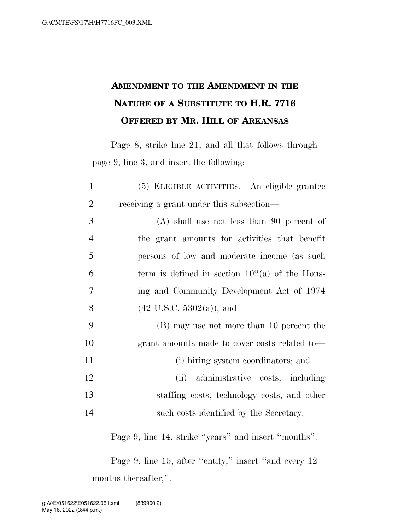## **AMENDMENT TO THE AMENDMENT IN THE NATURE OF A SUBSTITUTE TO H.R. 7716 OFFERED BY MR. HILL OF ARKANSAS**

Page 8, strike line 21, and all that follows through page 9, line 3, and insert the following:

| $\mathbf{1}$   | (5) ELIGIBLE ACTIVITIES.—An eligible grantee     |
|----------------|--------------------------------------------------|
| $\overline{2}$ | receiving a grant under this subsection—         |
| 3              | $(A)$ shall use not less than 90 percent of      |
| $\overline{4}$ | the grant amounts for activities that benefit    |
| 5              | persons of low and moderate income (as such      |
| 6              | term is defined in section $102(a)$ of the Hous- |
| 7              | ing and Community Development Act of 1974        |
| 8              | $(42 \text{ U.S.C. } 5302(a))$ ; and             |
| 9              | (B) may use not more than 10 percent the         |
| 10             | grant amounts made to cover costs related to-    |
| 11             | (i) hiring system coordinators; and              |
| 12             | administrative costs, including<br>(ii)          |
| 13             | staffing costs, technology costs, and other      |
| 14             | such costs identified by the Secretary.          |

Page 9, line 14, strike ''years'' and insert ''months''.

Page 9, line 15, after "entity," insert "and every 12 months thereafter,''.